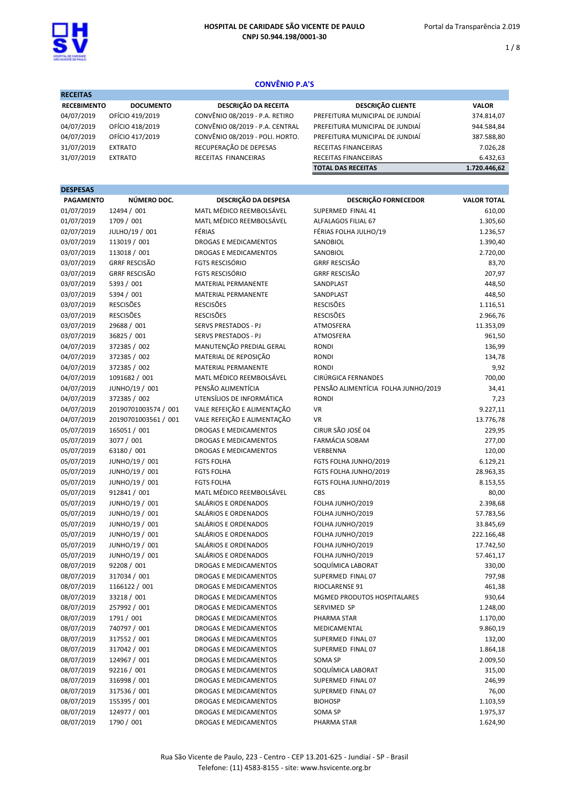

1 / 8

# CONVÊNIO P.A'S

| <b>RECEITAS</b>    |                  |                                 |                                 |              |  |  |
|--------------------|------------------|---------------------------------|---------------------------------|--------------|--|--|
| <b>RECEBIMENTO</b> | <b>DOCUMENTO</b> | DESCRIÇÃO DA RECEITA            | <b>DESCRIÇÃO CLIENTE</b>        | <b>VALOR</b> |  |  |
| 04/07/2019         | OFÍCIO 419/2019  | CONVÊNIO 08/2019 - P.A. RETIRO  | PREFEITURA MUNICIPAL DE JUNDIAÍ | 374.814,07   |  |  |
| 04/07/2019         | OFÍCIO 418/2019  | CONVÊNIO 08/2019 - P.A. CENTRAL | PREFEITURA MUNICIPAL DE JUNDIAÍ | 944.584,84   |  |  |
| 04/07/2019         | OFÍCIO 417/2019  | CONVÊNIO 08/2019 - POLI. HORTO. | PREFEITURA MUNICIPAL DE JUNDIAÍ | 387.588,80   |  |  |
| 31/07/2019         | <b>EXTRATO</b>   | RECUPERAÇÃO DE DEPESAS          | <b>RECEITAS FINANCEIRAS</b>     | 7.026,28     |  |  |
| 31/07/2019         | <b>EXTRATO</b>   | RECEITAS FINANCEIRAS            | RECEITAS FINANCEIRAS            | 6.432,63     |  |  |
|                    |                  |                                 | <b>TOTAL DAS RECEITAS</b>       | 1.720.446.62 |  |  |

## DESPESAS

| <b>PAGAMENTO</b> | NÚMERO DOC.          | DESCRIÇÃO DA DESPESA         | <b>DESCRIÇÃO FORNECEDOR</b>         | <b>VALOR TOTAL</b> |
|------------------|----------------------|------------------------------|-------------------------------------|--------------------|
| 01/07/2019       | 12494 / 001          | MATL MÉDICO REEMBOLSÁVEL     | SUPERMED FINAL 41                   | 610,00             |
| 01/07/2019       | 1709 / 001           | MATL MÉDICO REEMBOLSÁVEL     | ALFALAGOS FILIAL 67                 | 1.305,60           |
| 02/07/2019       | JULHO/19 / 001       | FÉRIAS                       | FÉRIAS FOLHA JULHO/19               | 1.236,57           |
| 03/07/2019       | 113019 / 001         | DROGAS E MEDICAMENTOS        | SANOBIOL                            | 1.390,40           |
| 03/07/2019       | 113018 / 001         | DROGAS E MEDICAMENTOS        | SANOBIOL                            | 2.720,00           |
| 03/07/2019       | <b>GRRF RESCISÃO</b> | <b>FGTS RESCISÓRIO</b>       | <b>GRRF RESCISÃO</b>                | 83,70              |
| 03/07/2019       | <b>GRRF RESCISÃO</b> | <b>FGTS RESCISÓRIO</b>       | <b>GRRF RESCISÃO</b>                | 207,97             |
| 03/07/2019       | 5393 / 001           | MATERIAL PERMANENTE          | SANDPLAST                           | 448,50             |
| 03/07/2019       | 5394 / 001           | MATERIAL PERMANENTE          | SANDPLAST                           | 448,50             |
| 03/07/2019       | <b>RESCISÕES</b>     | <b>RESCISÕES</b>             | <b>RESCISÕES</b>                    | 1.116,51           |
| 03/07/2019       | <b>RESCISÕES</b>     | <b>RESCISÕES</b>             | <b>RESCISÕES</b>                    | 2.966,76           |
| 03/07/2019       | 29688 / 001          | SERVS PRESTADOS - PJ         | ATMOSFERA                           | 11.353,09          |
| 03/07/2019       | 36825 / 001          | SERVS PRESTADOS - PJ         | ATMOSFERA                           | 961,50             |
| 04/07/2019       | 372385 / 002         | MANUTENÇÃO PREDIAL GERAL     | <b>RONDI</b>                        | 136,99             |
| 04/07/2019       | 372385 / 002         | MATERIAL DE REPOSIÇÃO        | <b>RONDI</b>                        | 134,78             |
| 04/07/2019       | 372385 / 002         | MATERIAL PERMANENTE          | <b>RONDI</b>                        | 9,92               |
| 04/07/2019       | 1091682 / 001        | MATL MÉDICO REEMBOLSÁVEL     | CIRÚRGICA FERNANDES                 | 700,00             |
| 04/07/2019       | JUNHO/19 / 001       | PENSÃO ALIMENTÍCIA           | PENSÃO ALIMENTÍCIA FOLHA JUNHO/2019 | 34,41              |
| 04/07/2019       | 372385 / 002         | UTENSÍLIOS DE INFORMÁTICA    | <b>RONDI</b>                        | 7,23               |
| 04/07/2019       | 20190701003574 / 001 | VALE REFEIÇÃO E ALIMENTAÇÃO  | <b>VR</b>                           | 9.227,11           |
| 04/07/2019       | 20190701003561 / 001 | VALE REFEIÇÃO E ALIMENTAÇÃO  | <b>VR</b>                           | 13.776,78          |
| 05/07/2019       | 165051 / 001         | DROGAS E MEDICAMENTOS        | CIRUR SÃO JOSÉ 04                   | 229,95             |
| 05/07/2019       | 3077 / 001           | <b>DROGAS E MEDICAMENTOS</b> | FARMÁCIA SOBAM                      | 277,00             |
| 05/07/2019       | 63180 / 001          | <b>DROGAS E MEDICAMENTOS</b> | VERBENNA                            | 120,00             |
| 05/07/2019       | JUNHO/19 / 001       | <b>FGTS FOLHA</b>            | FGTS FOLHA JUNHO/2019               | 6.129,21           |
| 05/07/2019       | JUNHO/19 / 001       | <b>FGTS FOLHA</b>            | FGTS FOLHA JUNHO/2019               | 28.963,35          |
| 05/07/2019       | JUNHO/19 / 001       | <b>FGTS FOLHA</b>            | FGTS FOLHA JUNHO/2019               | 8.153,55           |
| 05/07/2019       | 912841 / 001         | MATL MÉDICO REEMBOLSÁVEL     | <b>CBS</b>                          | 80,00              |
| 05/07/2019       | JUNHO/19 / 001       | SALÁRIOS E ORDENADOS         | FOLHA JUNHO/2019                    | 2.398,68           |
| 05/07/2019       | JUNHO/19 / 001       | SALÁRIOS E ORDENADOS         | FOLHA JUNHO/2019                    | 57.783,56          |
| 05/07/2019       | JUNHO/19 / 001       | SALÁRIOS E ORDENADOS         | FOLHA JUNHO/2019                    | 33.845,69          |
| 05/07/2019       | JUNHO/19 / 001       | SALÁRIOS E ORDENADOS         | FOLHA JUNHO/2019                    | 222.166,48         |
| 05/07/2019       | JUNHO/19 / 001       | SALÁRIOS E ORDENADOS         | FOLHA JUNHO/2019                    | 17.742,50          |
| 05/07/2019       | JUNHO/19 / 001       | SALÁRIOS E ORDENADOS         | FOLHA JUNHO/2019                    | 57.461,17          |
| 08/07/2019       | 92208 / 001          | <b>DROGAS E MEDICAMENTOS</b> | SOQUÍMICA LABORAT                   | 330,00             |
| 08/07/2019       | 317034 / 001         | DROGAS E MEDICAMENTOS        | SUPERMED FINAL 07                   | 797,98             |
| 08/07/2019       | 1166122 / 001        | DROGAS E MEDICAMENTOS        | RIOCLARENSE 91                      | 461,38             |
| 08/07/2019       | 33218 / 001          | DROGAS E MEDICAMENTOS        | MGMED PRODUTOS HOSPITALARES         | 930,64             |
| 08/07/2019       | 257992 / 001         | <b>DROGAS E MEDICAMENTOS</b> | SERVIMED SP                         | 1.248,00           |
| 08/07/2019       | 1791 / 001           | <b>DROGAS E MEDICAMENTOS</b> | PHARMA STAR                         | 1.170,00           |
| 08/07/2019       | 740797 / 001         | <b>DROGAS E MEDICAMENTOS</b> | MEDICAMENTAL                        | 9.860,19           |
| 08/07/2019       | 317552 / 001         | DROGAS E MEDICAMENTOS        | SUPERMED FINAL 07                   | 132,00             |
| 08/07/2019       | 317042 / 001         | DROGAS E MEDICAMENTOS        | SUPERMED FINAL 07                   | 1.864,18           |
| 08/07/2019       | 124967 / 001         | DROGAS E MEDICAMENTOS        | SOMA SP                             | 2.009,50           |
| 08/07/2019       | 92216 / 001          | DROGAS E MEDICAMENTOS        | SOQUÍMICA LABORAT                   | 315,00             |
| 08/07/2019       | 316998 / 001         | DROGAS E MEDICAMENTOS        | SUPERMED FINAL 07                   | 246,99             |
| 08/07/2019       | 317536 / 001         | DROGAS E MEDICAMENTOS        | SUPERMED FINAL 07                   | 76,00              |
| 08/07/2019       | 155395 / 001         | DROGAS E MEDICAMENTOS        | <b>BIOHOSP</b>                      | 1.103,59           |
| 08/07/2019       | 124977 / 001         | DROGAS E MEDICAMENTOS        | SOMA SP                             | 1.975,37           |
| 08/07/2019       | 1790 / 001           | DROGAS E MEDICAMENTOS        | PHARMA STAR                         | 1.624,90           |
|                  |                      |                              |                                     |                    |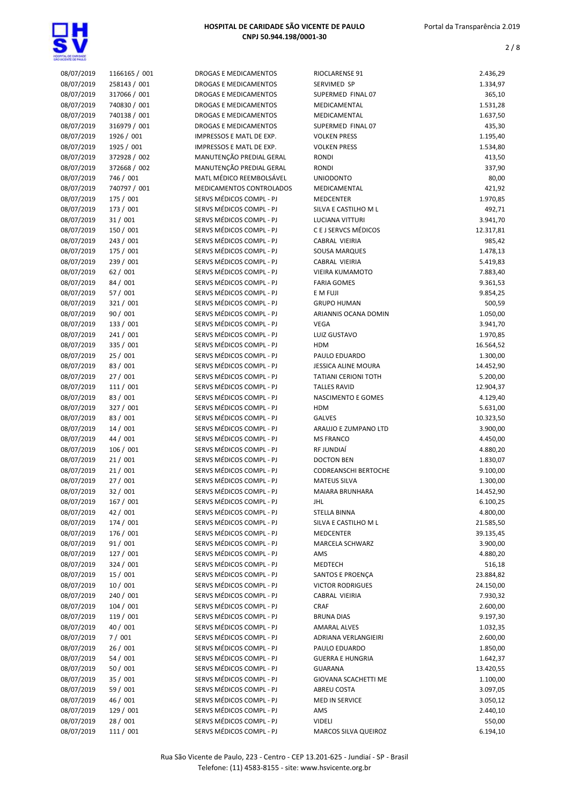

| 08/07/2019 | 1166165 / 001 | DROGAS E MEDICAMENTOS        | RIOCLARENSE 91              | 2.436,29  |
|------------|---------------|------------------------------|-----------------------------|-----------|
| 08/07/2019 | 258143 / 001  | DROGAS E MEDICAMENTOS        | SERVIMED SP                 | 1.334,97  |
| 08/07/2019 | 317066 / 001  | <b>DROGAS E MEDICAMENTOS</b> | SUPERMED FINAL 07           | 365,10    |
| 08/07/2019 | 740830 / 001  | DROGAS E MEDICAMENTOS        | MEDICAMENTAL                | 1.531,28  |
| 08/07/2019 | 740138 / 001  | DROGAS E MEDICAMENTOS        | MEDICAMENTAL                | 1.637,50  |
| 08/07/2019 | 316979 / 001  | <b>DROGAS E MEDICAMENTOS</b> | SUPERMED FINAL 07           | 435,30    |
|            |               |                              |                             |           |
| 08/07/2019 | 1926 / 001    | IMPRESSOS E MATL DE EXP.     | <b>VOLKEN PRESS</b>         | 1.195,40  |
| 08/07/2019 | 1925 / 001    | IMPRESSOS E MATL DE EXP.     | <b>VOLKEN PRESS</b>         | 1.534,80  |
| 08/07/2019 | 372928 / 002  | MANUTENÇÃO PREDIAL GERAL     | <b>RONDI</b>                | 413,50    |
| 08/07/2019 | 372668 / 002  | MANUTENÇÃO PREDIAL GERAL     | <b>RONDI</b>                | 337,90    |
| 08/07/2019 | 746 / 001     | MATL MÉDICO REEMBOLSÁVEL     | <b>UNIODONTO</b>            | 80,00     |
| 08/07/2019 | 740797 / 001  | MEDICAMENTOS CONTROLADOS     | MEDICAMENTAL                | 421,92    |
|            |               |                              |                             |           |
| 08/07/2019 | 175 / 001     | SERVS MÉDICOS COMPL - PJ     | <b>MEDCENTER</b>            | 1.970,85  |
| 08/07/2019 | 173 / 001     | SERVS MÉDICOS COMPL - PJ     | SILVA E CASTILHO M L        | 492,71    |
| 08/07/2019 | 31 / 001      | SERVS MÉDICOS COMPL - PJ     | <b>LUCIANA VITTURI</b>      | 3.941,70  |
| 08/07/2019 | 150 / 001     | SERVS MÉDICOS COMPL - PJ     | C E J SERVCS MÉDICOS        | 12.317,81 |
| 08/07/2019 | 243 / 001     | SERVS MÉDICOS COMPL - PJ     | CABRAL VIEIRIA              | 985,42    |
| 08/07/2019 | 175 / 001     | SERVS MÉDICOS COMPL - PJ     | <b>SOUSA MARQUES</b>        | 1.478,13  |
| 08/07/2019 | 239 / 001     | SERVS MÉDICOS COMPL - PJ     | CABRAL VIEIRIA              | 5.419,83  |
|            |               |                              |                             |           |
| 08/07/2019 | 62/001        | SERVS MÉDICOS COMPL - PJ     | <b>VIEIRA KUMAMOTO</b>      | 7.883,40  |
| 08/07/2019 | 84 / 001      | SERVS MÉDICOS COMPL - PJ     | <b>FARIA GOMES</b>          | 9.361,53  |
| 08/07/2019 | 57 / 001      | SERVS MÉDICOS COMPL - PJ     | E M FUJI                    | 9.854,25  |
| 08/07/2019 | 321 / 001     | SERVS MÉDICOS COMPL - PJ     | <b>GRUPO HUMAN</b>          | 500,59    |
| 08/07/2019 | 90 / 001      | SERVS MÉDICOS COMPL - PJ     | ARIANNIS OCANA DOMIN        | 1.050,00  |
| 08/07/2019 | 133 / 001     | SERVS MÉDICOS COMPL - PJ     | <b>VEGA</b>                 | 3.941,70  |
|            |               |                              |                             |           |
| 08/07/2019 | 241 / 001     | SERVS MÉDICOS COMPL - PJ     | LUIZ GUSTAVO                | 1.970,85  |
| 08/07/2019 | 335 / 001     | SERVS MÉDICOS COMPL - PJ     | <b>HDM</b>                  | 16.564,52 |
| 08/07/2019 | 25 / 001      | SERVS MÉDICOS COMPL - PJ     | PAULO EDUARDO               | 1.300,00  |
| 08/07/2019 | 83 / 001      | SERVS MÉDICOS COMPL - PJ     | <b>JESSICA ALINE MOURA</b>  | 14.452,90 |
| 08/07/2019 | 27/001        | SERVS MÉDICOS COMPL - PJ     | <b>TATIANI CERIONI TOTH</b> | 5.200,00  |
| 08/07/2019 | 111 / 001     | SERVS MÉDICOS COMPL - PJ     | <b>TALLES RAVID</b>         | 12.904,37 |
| 08/07/2019 | 83 / 001      | SERVS MÉDICOS COMPL - PJ     | NASCIMENTO E GOMES          | 4.129,40  |
|            |               |                              |                             |           |
| 08/07/2019 | 327 / 001     | SERVS MÉDICOS COMPL - PJ     | <b>HDM</b>                  | 5.631,00  |
| 08/07/2019 | 83 / 001      | SERVS MÉDICOS COMPL - PJ     | <b>GALVES</b>               | 10.323,50 |
| 08/07/2019 | 14/001        | SERVS MÉDICOS COMPL - PJ     | ARAUJO E ZUMPANO LTD        | 3.900,00  |
| 08/07/2019 | 44 / 001      | SERVS MÉDICOS COMPL - PJ     | <b>MS FRANCO</b>            | 4.450,00  |
| 08/07/2019 | 106/001       | SERVS MÉDICOS COMPL - PJ     | RF JUNDIAÍ                  | 4.880,20  |
| 08/07/2019 | 21/001        | SERVS MÉDICOS COMPL - PJ     | <b>DOCTON BEN</b>           | 1.830,07  |
| 08/07/2019 | 21/001        | SERVS MÉDICOS COMPL - PJ     | <b>CODREANSCHI BERTOCHE</b> | 9.100,00  |
|            |               |                              |                             |           |
| 08/07/2019 | 27/001        | SERVS MÉDICOS COMPL - PJ     | <b>MATEUS SILVA</b>         | 1.300,00  |
| 08/07/2019 | 32 / 001      | SERVS MÉDICOS COMPL - PJ     | <b>MAIARA BRUNHARA</b>      | 14.452.90 |
| 08/07/2019 | 167 / 001     | SERVS MÉDICOS COMPL - PJ     | JHL                         | 6.100,25  |
| 08/07/2019 | 42 / 001      | SERVS MÉDICOS COMPL - PJ     | STELLA BINNA                | 4.800,00  |
| 08/07/2019 | 174 / 001     | SERVS MÉDICOS COMPL - PJ     | SILVA E CASTILHO M L        | 21.585,50 |
| 08/07/2019 | 176 / 001     | SERVS MÉDICOS COMPL - PJ     | <b>MEDCENTER</b>            | 39.135,45 |
| 08/07/2019 | 91 / 001      | SERVS MÉDICOS COMPL - PJ     | MARCELA SCHWARZ             | 3.900,00  |
|            |               | SERVS MÉDICOS COMPL - PJ     |                             |           |
| 08/07/2019 | 127 / 001     |                              | AMS                         | 4.880,20  |
| 08/07/2019 | 324 / 001     | SERVS MÉDICOS COMPL - PJ     | MEDTECH                     | 516,18    |
| 08/07/2019 | 15 / 001      | SERVS MÉDICOS COMPL - PJ     | SANTOS E PROENÇA            | 23.884,82 |
| 08/07/2019 | 10/001        | SERVS MÉDICOS COMPL - PJ     | <b>VICTOR RODRIGUES</b>     | 24.150,00 |
| 08/07/2019 | 240 / 001     | SERVS MÉDICOS COMPL - PJ     | CABRAL VIEIRIA              | 7.930,32  |
| 08/07/2019 | 104/001       | SERVS MÉDICOS COMPL - PJ     | <b>CRAF</b>                 | 2.600,00  |
| 08/07/2019 | 119 / 001     | SERVS MÉDICOS COMPL - PJ     | <b>BRUNA DIAS</b>           | 9.197,30  |
|            |               |                              |                             |           |
| 08/07/2019 | 40 / 001      | SERVS MÉDICOS COMPL - PJ     | <b>AMARAL ALVES</b>         | 1.032,35  |
| 08/07/2019 | 7/001         | SERVS MÉDICOS COMPL - PJ     | ADRIANA VERLANGIEIRI        | 2.600,00  |
| 08/07/2019 | 26/001        | SERVS MÉDICOS COMPL - PJ     | PAULO EDUARDO               | 1.850,00  |
| 08/07/2019 | 54/001        | SERVS MÉDICOS COMPL - PJ     | <b>GUERRA E HUNGRIA</b>     | 1.642,37  |
| 08/07/2019 | 50 / 001      | SERVS MÉDICOS COMPL - PJ     | GUARANA                     | 13.420,55 |
| 08/07/2019 | 35 / 001      | SERVS MÉDICOS COMPL - PJ     | GIOVANA SCACHETTI ME        | 1.100,00  |
| 08/07/2019 | 59 / 001      | SERVS MÉDICOS COMPL - PJ     | ABREU COSTA                 | 3.097,05  |
| 08/07/2019 | 46 / 001      | SERVS MÉDICOS COMPL - PJ     | MED IN SERVICE              | 3.050,12  |
|            |               |                              |                             |           |
| 08/07/2019 | 129 / 001     | SERVS MÉDICOS COMPL - PJ     | AMS                         | 2.440,10  |
| 08/07/2019 | 28 / 001      | SERVS MÉDICOS COMPL - PJ     | <b>VIDELI</b>               | 550,00    |
| 08/07/2019 | 111 / 001     | SERVS MÉDICOS COMPL - PJ     | MARCOS SILVA QUEIROZ        | 6.194,10  |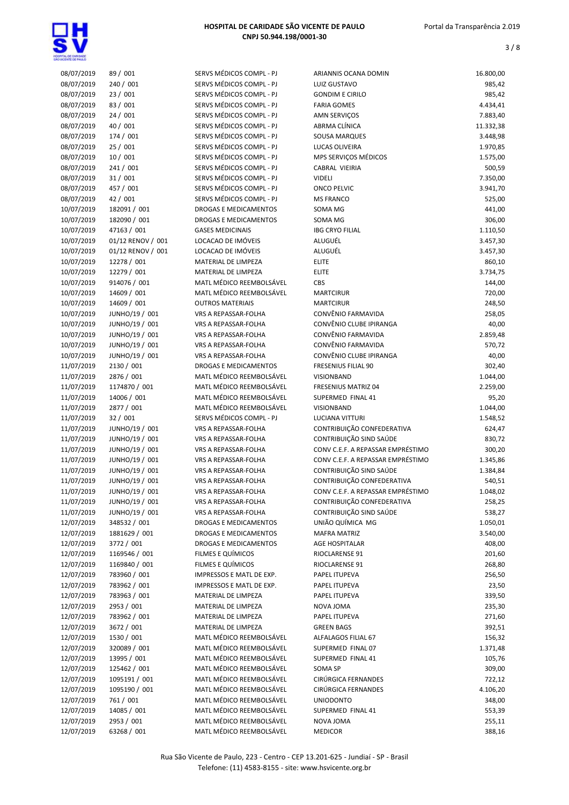

| 08/07/2019 | 89 / 001          | SERVS MÉDICOS COMPL - PJ     | ARIANNIS OCANA DOMIN              | 16.800,00 |
|------------|-------------------|------------------------------|-----------------------------------|-----------|
| 08/07/2019 | 240 / 001         | SERVS MÉDICOS COMPL - PJ     | LUIZ GUSTAVO                      | 985,42    |
| 08/07/2019 | 23 / 001          | SERVS MÉDICOS COMPL - PJ     | <b>GONDIM E CIRILO</b>            | 985,42    |
| 08/07/2019 | 83 / 001          | SERVS MÉDICOS COMPL - PJ     | <b>FARIA GOMES</b>                | 4.434,41  |
| 08/07/2019 | 24/001            | SERVS MÉDICOS COMPL - PJ     | <b>AMN SERVICOS</b>               | 7.883,40  |
| 08/07/2019 | 40 / 001          | SERVS MÉDICOS COMPL - PJ     | ABRMA CLÍNICA                     | 11.332,38 |
| 08/07/2019 | 174 / 001         | SERVS MÉDICOS COMPL - PJ     | <b>SOUSA MARQUES</b>              | 3.448,98  |
| 08/07/2019 | 25 / 001          | SERVS MÉDICOS COMPL - PJ     | LUCAS OLIVEIRA                    | 1.970,85  |
| 08/07/2019 | 10/001            | SERVS MÉDICOS COMPL - PJ     | MPS SERVIÇOS MÉDICOS              | 1.575,00  |
| 08/07/2019 | 241 / 001         | SERVS MÉDICOS COMPL - PJ     | <b>CABRAL VIEIRIA</b>             | 500,59    |
| 08/07/2019 | 31/001            | SERVS MÉDICOS COMPL - PJ     | <b>VIDELI</b>                     | 7.350,00  |
| 08/07/2019 | 457 / 001         | SERVS MÉDICOS COMPL - PJ     | ONCO PELVIC                       | 3.941,70  |
| 08/07/2019 | 42 / 001          | SERVS MÉDICOS COMPL - PJ     | <b>MS FRANCO</b>                  | 525,00    |
| 10/07/2019 | 182091 / 001      | <b>DROGAS E MEDICAMENTOS</b> | SOMA MG                           | 441,00    |
| 10/07/2019 | 182090 / 001      | <b>DROGAS E MEDICAMENTOS</b> | SOMA MG                           | 306,00    |
| 10/07/2019 | 47163 / 001       | <b>GASES MEDICINAIS</b>      | <b>IBG CRYO FILIAL</b>            | 1.110,50  |
| 10/07/2019 | 01/12 RENOV / 001 | LOCACAO DE IMÓVEIS           | ALUGUÉL                           | 3.457,30  |
| 10/07/2019 | 01/12 RENOV / 001 | LOCACAO DE IMÓVEIS           | ALUGUÉL                           | 3.457,30  |
| 10/07/2019 | 12278 / 001       | MATERIAL DE LIMPEZA          | <b>ELITE</b>                      | 860,10    |
| 10/07/2019 | 12279 / 001       | MATERIAL DE LIMPEZA          | <b>ELITE</b>                      | 3.734,75  |
| 10/07/2019 | 914076 / 001      | MATL MÉDICO REEMBOLSÁVEL     | <b>CBS</b>                        |           |
|            |                   |                              | <b>MARTCIRUR</b>                  | 144,00    |
| 10/07/2019 | 14609 / 001       | MATL MÉDICO REEMBOLSÁVEL     |                                   | 720,00    |
| 10/07/2019 | 14609 / 001       | <b>OUTROS MATERIAIS</b>      | <b>MARTCIRUR</b>                  | 248,50    |
| 10/07/2019 | JUNHO/19 / 001    | VRS A REPASSAR-FOLHA         | CONVÊNIO FARMAVIDA                | 258,05    |
| 10/07/2019 | JUNHO/19 / 001    | <b>VRS A REPASSAR-FOLHA</b>  | CONVÊNIO CLUBE IPIRANGA           | 40,00     |
| 10/07/2019 | JUNHO/19 / 001    | VRS A REPASSAR-FOLHA         | CONVÊNIO FARMAVIDA                | 2.859,48  |
| 10/07/2019 | JUNHO/19 / 001    | VRS A REPASSAR-FOLHA         | CONVÊNIO FARMAVIDA                | 570,72    |
| 10/07/2019 | JUNHO/19 / 001    | VRS A REPASSAR-FOLHA         | CONVÊNIO CLUBE IPIRANGA           | 40,00     |
| 11/07/2019 | 2130 / 001        | <b>DROGAS E MEDICAMENTOS</b> | <b>FRESENIUS FILIAL 90</b>        | 302,40    |
| 11/07/2019 | 2876 / 001        | MATL MÉDICO REEMBOLSÁVEL     | VISIONBAND                        | 1.044,00  |
| 11/07/2019 | 1174870 / 001     | MATL MÉDICO REEMBOLSÁVEL     | FRESENIUS MATRIZ 04               | 2.259,00  |
| 11/07/2019 | 14006 / 001       | MATL MÉDICO REEMBOLSÁVEL     | SUPERMED FINAL 41                 | 95,20     |
| 11/07/2019 | 2877 / 001        | MATL MÉDICO REEMBOLSÁVEL     | VISIONBAND                        | 1.044,00  |
| 11/07/2019 | 32/001            | SERVS MÉDICOS COMPL - PJ     | LUCIANA VITTURI                   | 1.548,52  |
| 11/07/2019 | JUNHO/19 / 001    | VRS A REPASSAR-FOLHA         | CONTRIBUIÇÃO CONFEDERATIVA        | 624,47    |
| 11/07/2019 | JUNHO/19 / 001    | VRS A REPASSAR-FOLHA         | CONTRIBUIÇÃO SIND SAÚDE           | 830,72    |
| 11/07/2019 | JUNHO/19 / 001    | VRS A REPASSAR-FOLHA         | CONV C.E.F. A REPASSAR EMPRÉSTIMO | 300,20    |
| 11/07/2019 | JUNHO/19 / 001    | VRS A REPASSAR-FOLHA         | CONV C.E.F. A REPASSAR EMPRÉSTIMO | 1.345,86  |
| 11/07/2019 | JUNHO/19 / 001    | <b>VRS A REPASSAR-FOLHA</b>  | CONTRIBUIÇÃO SIND SAÚDE           | 1.384,84  |
| 11/07/2019 | JUNHO/19 / 001    | VRS A REPASSAR-FOLHA         | CONTRIBUIÇÃO CONFEDERATIVA        | 540,51    |
| 11/07/2019 | JUNHO/19 / 001    | VRS A REPASSAR-FOLHA         | CONV C.E.F. A REPASSAR EMPRÉSTIMO | 1.048,02  |
| 11/07/2019 | JUNHO/19 / 001    | VRS A REPASSAR-FOLHA         | CONTRIBUIÇÃO CONFEDERATIVA        | 258,25    |
| 11/07/2019 | JUNHO/19 / 001    | VRS A REPASSAR-FOLHA         | CONTRIBUIÇÃO SIND SAÚDE           | 538,27    |
| 12/07/2019 | 348532 / 001      | DROGAS E MEDICAMENTOS        | UNIÃO QUÍMICA MG                  | 1.050,01  |
| 12/07/2019 | 1881629 / 001     | DROGAS E MEDICAMENTOS        | <b>MAFRA MATRIZ</b>               | 3.540,00  |
| 12/07/2019 | 3772 / 001        | <b>DROGAS E MEDICAMENTOS</b> | AGE HOSPITALAR                    | 408,00    |
| 12/07/2019 | 1169546 / 001     | FILMES E QUÍMICOS            | RIOCLARENSE 91                    | 201,60    |
| 12/07/2019 | 1169840 / 001     | FILMES E QUÍMICOS            | RIOCLARENSE 91                    | 268,80    |
| 12/07/2019 | 783960 / 001      | IMPRESSOS E MATL DE EXP.     | PAPEL ITUPEVA                     | 256,50    |
| 12/07/2019 | 783962 / 001      | IMPRESSOS E MATL DE EXP.     | PAPEL ITUPEVA                     | 23,50     |
| 12/07/2019 | 783963 / 001      | MATERIAL DE LIMPEZA          | PAPEL ITUPEVA                     | 339,50    |
| 12/07/2019 | 2953 / 001        | MATERIAL DE LIMPEZA          | NOVA JOMA                         | 235,30    |
| 12/07/2019 | 783962 / 001      | MATERIAL DE LIMPEZA          | PAPEL ITUPEVA                     | 271,60    |
| 12/07/2019 | 3672 / 001        | MATERIAL DE LIMPEZA          | <b>GREEN BAGS</b>                 | 392,51    |
| 12/07/2019 | 1530 / 001        | MATL MÉDICO REEMBOLSÁVEL     | ALFALAGOS FILIAL 67               | 156,32    |
| 12/07/2019 | 320089 / 001      | MATL MÉDICO REEMBOLSÁVEL     | SUPERMED FINAL 07                 | 1.371,48  |
| 12/07/2019 | 13995 / 001       | MATL MÉDICO REEMBOLSÁVEL     | SUPERMED FINAL 41                 | 105,76    |
|            | 125462 / 001      | MATL MÉDICO REEMBOLSÁVEL     | SOMA SP                           |           |
| 12/07/2019 | 1095191 / 001     | MATL MÉDICO REEMBOLSÁVEL     | CIRÚRGICA FERNANDES               | 309,00    |
| 12/07/2019 |                   |                              |                                   | 722,12    |
| 12/07/2019 | 1095190 / 001     | MATL MÉDICO REEMBOLSÁVEL     | CIRÚRGICA FERNANDES               | 4.106,20  |
| 12/07/2019 | 761 / 001         | MATL MÉDICO REEMBOLSÁVEL     | <b>UNIODONTO</b>                  | 348,00    |
| 12/07/2019 | 14085 / 001       | MATL MÉDICO REEMBOLSÁVEL     | SUPERMED FINAL 41                 | 553,39    |
| 12/07/2019 | 2953 / 001        | MATL MÉDICO REEMBOLSÁVEL     | NOVA JOMA                         | 255,11    |
| 12/07/2019 | 63268 / 001       | MATL MÉDICO REEMBOLSÁVEL     | <b>MEDICOR</b>                    | 388,16    |
|            |                   |                              |                                   |           |

| 00/07/2019 | <b>PAIL</b> 700   | SENVS IVIEDILUS LUIVIPL - PJ | ANIANNIJ ULANA DUIVIIIV           | 10.000,00 |
|------------|-------------------|------------------------------|-----------------------------------|-----------|
| 08/07/2019 | 240 / 001         | SERVS MÉDICOS COMPL - PJ     | LUIZ GUSTAVO                      | 985,42    |
| 08/07/2019 | 23/001            | SERVS MÉDICOS COMPL - PJ     | <b>GONDIM E CIRILO</b>            | 985,42    |
| 08/07/2019 | 83 / 001          | SERVS MÉDICOS COMPL - PJ     | <b>FARIA GOMES</b>                | 4.434,41  |
| 08/07/2019 | 24/001            | SERVS MÉDICOS COMPL - PJ     | AMN SERVIÇOS                      | 7.883,40  |
| 08/07/2019 | 40 / 001          | SERVS MÉDICOS COMPL - PJ     | ABRMA CLÍNICA                     | 11.332,38 |
| 08/07/2019 | 174 / 001         | SERVS MÉDICOS COMPL - PJ     | <b>SOUSA MARQUES</b>              | 3.448,98  |
| 08/07/2019 | 25/001            | SERVS MÉDICOS COMPL - PJ     | LUCAS OLIVEIRA                    | 1.970,85  |
| 08/07/2019 | 10/001            | SERVS MÉDICOS COMPL - PJ     | MPS SERVIÇOS MÉDICOS              | 1.575,00  |
| 08/07/2019 | 241 / 001         | SERVS MÉDICOS COMPL - PJ     | CABRAL VIEIRIA                    | 500,59    |
| 08/07/2019 | 31/001            | SERVS MÉDICOS COMPL - PJ     | <b>VIDELI</b>                     | 7.350,00  |
| 08/07/2019 | 457 / 001         | SERVS MÉDICOS COMPL - PJ     | <b>ONCO PELVIC</b>                | 3.941,70  |
| 08/07/2019 | 42 / 001          | SERVS MÉDICOS COMPL - PJ     | <b>MS FRANCO</b>                  | 525,00    |
| 10/07/2019 | 182091 / 001      | DROGAS E MEDICAMENTOS        | SOMA MG                           | 441,00    |
| 10/07/2019 | 182090 / 001      | <b>DROGAS E MEDICAMENTOS</b> | SOMA MG                           | 306,00    |
| 10/07/2019 | 47163 / 001       | <b>GASES MEDICINAIS</b>      | <b>IBG CRYO FILIAL</b>            | 1.110,50  |
| 10/07/2019 | 01/12 RENOV / 001 | LOCACAO DE IMÓVEIS           | ALUGUÉL                           | 3.457,30  |
| 10/07/2019 | 01/12 RENOV / 001 | LOCACAO DE IMÓVEIS           | ALUGUÉL                           | 3.457,30  |
| 10/07/2019 | 12278 / 001       | MATERIAL DE LIMPEZA          | <b>ELITE</b>                      | 860,10    |
| 10/07/2019 | 12279 / 001       | MATERIAL DE LIMPEZA          | <b>ELITE</b>                      | 3.734,75  |
| 10/07/2019 | 914076 / 001      | MATL MÉDICO REEMBOLSÁVEL     | CBS                               | 144,00    |
| 10/07/2019 | 14609 / 001       | MATL MÉDICO REEMBOLSÁVEL     | <b>MARTCIRUR</b>                  |           |
|            |                   | <b>OUTROS MATERIAIS</b>      |                                   | 720,00    |
| 10/07/2019 | 14609 / 001       |                              | <b>MARTCIRUR</b>                  | 248,50    |
| 10/07/2019 | JUNHO/19 / 001    | VRS A REPASSAR-FOLHA         | CONVÊNIO FARMAVIDA                | 258,05    |
| 10/07/2019 | JUNHO/19 / 001    | VRS A REPASSAR-FOLHA         | CONVÊNIO CLUBE IPIRANGA           | 40,00     |
| 10/07/2019 | JUNHO/19 / 001    | <b>VRS A REPASSAR-FOLHA</b>  | CONVÊNIO FARMAVIDA                | 2.859,48  |
| 10/07/2019 | JUNHO/19 / 001    | VRS A REPASSAR-FOLHA         | CONVÊNIO FARMAVIDA                | 570,72    |
| 10/07/2019 | JUNHO/19 / 001    | VRS A REPASSAR-FOLHA         | CONVÊNIO CLUBE IPIRANGA           | 40,00     |
| 11/07/2019 | 2130 / 001        | <b>DROGAS E MEDICAMENTOS</b> | <b>FRESENIUS FILIAL 90</b>        | 302,40    |
| 11/07/2019 | 2876 / 001        | MATL MÉDICO REEMBOLSÁVEL     | VISIONBAND                        | 1.044,00  |
| 11/07/2019 | 1174870 / 001     | MATL MÉDICO REEMBOLSÁVEL     | FRESENIUS MATRIZ 04               | 2.259,00  |
| 11/07/2019 | 14006 / 001       | MATL MÉDICO REEMBOLSÁVEL     | SUPERMED FINAL 41                 | 95,20     |
| 11/07/2019 | 2877 / 001        | MATL MÉDICO REEMBOLSÁVEL     | VISIONBAND                        | 1.044,00  |
| 11/07/2019 | 32 / 001          | SERVS MÉDICOS COMPL - PJ     | LUCIANA VITTURI                   | 1.548,52  |
| 11/07/2019 | JUNHO/19 / 001    | VRS A REPASSAR-FOLHA         | CONTRIBUIÇÃO CONFEDERATIVA        | 624,47    |
| 11/07/2019 | JUNHO/19 / 001    | VRS A REPASSAR-FOLHA         | CONTRIBUIÇÃO SIND SAÚDE           | 830,72    |
| 11/07/2019 | JUNHO/19 / 001    | VRS A REPASSAR-FOLHA         | CONV C.E.F. A REPASSAR EMPRÉSTIMO | 300,20    |
| 11/07/2019 | JUNHO/19 / 001    | VRS A REPASSAR-FOLHA         | CONV C.E.F. A REPASSAR EMPRÉSTIMO | 1.345,86  |
| 11/07/2019 | JUNHO/19 / 001    | VRS A REPASSAR-FOLHA         | CONTRIBUIÇÃO SIND SAÚDE           | 1.384,84  |
| 11/07/2019 | JUNHO/19 / 001    | VRS A REPASSAR-FOLHA         | CONTRIBUIÇÃO CONFEDERATIVA        | 540,51    |
| 11/07/2019 | JUNHO/19 / 001    | <b>VRS A REPASSAR-FOLHA</b>  | CONV C.E.F. A REPASSAR EMPRÉSTIMO | 1.048,02  |
| 11/07/2019 | JUNHO/19 / 001    | <b>VRS A REPASSAR-FOLHA</b>  | CONTRIBUIÇÃO CONFEDERATIVA        | 258,25    |
| 11/07/2019 | JUNHO/19 / 001    | VRS A REPASSAR-FOLHA         | CONTRIBUIÇÃO SIND SAÚDE           | 538,27    |
| 12/07/2019 | 348532 / 001      | <b>DROGAS E MEDICAMENTOS</b> | UNIÃO QUÍMICA MG                  | 1.050,01  |
| 12/07/2019 | 1881629 / 001     | DROGAS E MEDICAMENTOS        | <b>MAFRA MATRIZ</b>               | 3.540,00  |
| 12/07/2019 | 3772 / 001        | DROGAS E MEDICAMENTOS        | AGE HOSPITALAR                    | 408,00    |
| 12/07/2019 | 1169546 / 001     | FILMES E QUÍMICOS            | RIOCLARENSE 91                    | 201,60    |
| 12/07/2019 | 1169840 / 001     | FILMES E QUÍMICOS            | RIOCLARENSE 91                    | 268,80    |
| 12/07/2019 | 783960 / 001      | IMPRESSOS E MATL DE EXP.     | PAPEL ITUPEVA                     | 256,50    |
| 12/07/2019 | 783962 / 001      | IMPRESSOS E MATL DE EXP.     | PAPEL ITUPEVA                     | 23,50     |
| 12/07/2019 | 783963 / 001      | MATERIAL DE LIMPEZA          | PAPEL ITUPEVA                     | 339,50    |
| 12/07/2019 | 2953 / 001        | MATERIAL DE LIMPEZA          | NOVA JOMA                         | 235,30    |
| 12/07/2019 | 783962 / 001      | MATERIAL DE LIMPEZA          | PAPEL ITUPEVA                     | 271,60    |
| 12/07/2019 | 3672 / 001        | MATERIAL DE LIMPEZA          | <b>GREEN BAGS</b>                 | 392,51    |
| 12/07/2019 | 1530 / 001        | MATL MÉDICO REEMBOLSÁVEL     | ALFALAGOS FILIAL 67               | 156,32    |
| 12/07/2019 | 320089 / 001      | MATL MÉDICO REEMBOLSÁVEL     | SUPERMED FINAL 07                 | 1.371,48  |
|            |                   |                              |                                   |           |
| 12/07/2019 | 13995 / 001       | MATL MÉDICO REEMBOLSÁVEL     | SUPERMED FINAL 41                 | 105,76    |
| 12/07/2019 | 125462 / 001      | MATL MÉDICO REEMBOLSÁVEL     | SOMA SP                           | 309,00    |
| 12/07/2019 | 1095191 / 001     | MATL MÉDICO REEMBOLSÁVEL     | CIRÚRGICA FERNANDES               | 722,12    |
| 12/07/2019 | 1095190 / 001     | MATL MÉDICO REEMBOLSÁVEL     | CIRÚRGICA FERNANDES               | 4.106,20  |
| 12/07/2019 | 761 / 001         | MATL MÉDICO REEMBOLSÁVEL     | <b>UNIODONTO</b>                  | 348,00    |
| 12/07/2019 | 14085 / 001       | MATL MÉDICO REEMBOLSÁVEL     | SUPERMED FINAL 41                 | 553,39    |
| 12/07/2019 | 2953 / 001        | MATL MÉDICO REEMBOLSÁVEL     | NOVA JOMA                         | 255,11    |
| 12/07/2019 | 63268 / 001       | MATL MÉDICO REEMBOLSÁVEL     | <b>MEDICOR</b>                    | 388,16    |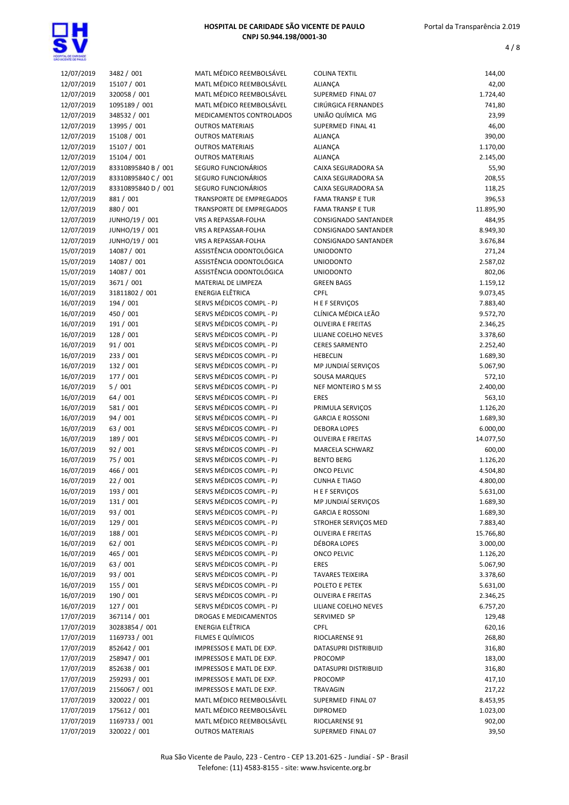

| 12/07/2019 | 3482 / 001          | MATL MÉDICO REEMBOLSÁVEL        | <b>COLINA TEXTIL</b>      |           |
|------------|---------------------|---------------------------------|---------------------------|-----------|
|            |                     |                                 |                           | 144,00    |
| 12/07/2019 | 15107 / 001         | MATL MÉDICO REEMBOLSÁVEL        | <b>ALIANÇA</b>            | 42,00     |
| 12/07/2019 | 320058 / 001        | MATL MÉDICO REEMBOLSÁVEL        | SUPERMED FINAL 07         | 1.724,40  |
| 12/07/2019 | 1095189 / 001       | MATL MÉDICO REEMBOLSÁVEL        | CIRÚRGICA FERNANDES       | 741,80    |
| 12/07/2019 | 348532 / 001        | MEDICAMENTOS CONTROLADOS        | UNIÃO QUÍMICA MG          | 23,99     |
| 12/07/2019 | 13995 / 001         | <b>OUTROS MATERIAIS</b>         | SUPERMED FINAL 41         | 46,00     |
| 12/07/2019 | 15108 / 001         | <b>OUTROS MATERIAIS</b>         | ALIANÇA                   | 390,00    |
|            |                     |                                 |                           |           |
| 12/07/2019 | 15107 / 001         | <b>OUTROS MATERIAIS</b>         | ALIANÇA                   | 1.170,00  |
| 12/07/2019 | 15104 / 001         | <b>OUTROS MATERIAIS</b>         | <b>ALIANÇA</b>            | 2.145,00  |
| 12/07/2019 | 83310895840 B / 001 | SEGURO FUNCIONÁRIOS             | CAIXA SEGURADORA SA       | 55,90     |
| 12/07/2019 | 83310895840 C / 001 | SEGURO FUNCIONÁRIOS             | CAIXA SEGURADORA SA       | 208,55    |
| 12/07/2019 | 83310895840 D / 001 | SEGURO FUNCIONÁRIOS             | CAIXA SEGURADORA SA       | 118,25    |
| 12/07/2019 | 881 / 001           | TRANSPORTE DE EMPREGADOS        | <b>FAMA TRANSP E TUR</b>  | 396,53    |
| 12/07/2019 | 880 / 001           | <b>TRANSPORTE DE EMPREGADOS</b> | <b>FAMA TRANSP E TUR</b>  | 11.895,90 |
| 12/07/2019 | JUNHO/19 / 001      | VRS A REPASSAR-FOLHA            | CONSIGNADO SANTANDER      | 484,95    |
|            |                     |                                 |                           |           |
| 12/07/2019 | JUNHO/19 / 001      | VRS A REPASSAR-FOLHA            | CONSIGNADO SANTANDER      | 8.949,30  |
| 12/07/2019 | JUNHO/19 / 001      | VRS A REPASSAR-FOLHA            | CONSIGNADO SANTANDER      | 3.676,84  |
| 15/07/2019 | 14087 / 001         | ASSISTÊNCIA ODONTOLÓGICA        | <b>UNIODONTO</b>          | 271,24    |
| 15/07/2019 | 14087 / 001         | ASSISTÊNCIA ODONTOLÓGICA        | <b>UNIODONTO</b>          | 2.587,02  |
| 15/07/2019 | 14087 / 001         | ASSISTÊNCIA ODONTOLÓGICA        | <b>UNIODONTO</b>          | 802,06    |
| 15/07/2019 | 3671 / 001          | MATERIAL DE LIMPEZA             | <b>GREEN BAGS</b>         | 1.159,12  |
| 16/07/2019 | 31811802 / 001      | <b>ENERGIA ELÊTRICA</b>         | <b>CPFL</b>               | 9.073,45  |
|            |                     |                                 |                           |           |
| 16/07/2019 | 194 / 001           | SERVS MÉDICOS COMPL - PJ        | H E F SERVIÇOS            | 7.883,40  |
| 16/07/2019 | 450 / 001           | SERVS MÉDICOS COMPL - PJ        | CLÍNICA MÉDICA LEÃO       | 9.572,70  |
| 16/07/2019 | 191 / 001           | SERVS MÉDICOS COMPL - PJ        | <b>OLIVEIRA E FREITAS</b> | 2.346,25  |
| 16/07/2019 | 128 / 001           | SERVS MÉDICOS COMPL - PJ        | LILIANE COELHO NEVES      | 3.378,60  |
| 16/07/2019 | 91 / 001            | SERVS MÉDICOS COMPL - PJ        | <b>CERES SARMENTO</b>     | 2.252,40  |
| 16/07/2019 | 233 / 001           | SERVS MÉDICOS COMPL - PJ        | <b>HEBECLIN</b>           | 1.689,30  |
| 16/07/2019 | 132 / 001           | SERVS MÉDICOS COMPL - PJ        | MP JUNDIAÍ SERVIÇOS       | 5.067,90  |
| 16/07/2019 | 177 / 001           | SERVS MÉDICOS COMPL - PJ        | <b>SOUSA MARQUES</b>      | 572,10    |
|            |                     |                                 |                           |           |
| 16/07/2019 | 5/001               | SERVS MÉDICOS COMPL - PJ        | NEF MONTEIRO S M SS       | 2.400,00  |
| 16/07/2019 | 64 / 001            | SERVS MÉDICOS COMPL - PJ        | <b>ERES</b>               | 563,10    |
| 16/07/2019 | 581 / 001           | SERVS MÉDICOS COMPL - PJ        | PRIMULA SERVIÇOS          | 1.126,20  |
| 16/07/2019 | 94 / 001            | SERVS MÉDICOS COMPL - PJ        | <b>GARCIA E ROSSONI</b>   | 1.689,30  |
| 16/07/2019 | 63 / 001            | SERVS MÉDICOS COMPL - PJ        | <b>DEBORA LOPES</b>       | 6.000,00  |
| 16/07/2019 | 189 / 001           | SERVS MÉDICOS COMPL - PJ        | <b>OLIVEIRA E FREITAS</b> | 14.077,50 |
| 16/07/2019 | 92 / 001            | SERVS MÉDICOS COMPL - PJ        | MARCELA SCHWARZ           | 600,00    |
| 16/07/2019 | 75 / 001            | SERVS MÉDICOS COMPL - PJ        | <b>BENTO BERG</b>         | 1.126,20  |
| 16/07/2019 | 466 / 001           | SERVS MÉDICOS COMPL - PJ        | <b>ONCO PELVIC</b>        | 4.504,80  |
| 16/07/2019 | 22 / 001            | SERVS MÉDICOS COMPL - PJ        | <b>CUNHA E TIAGO</b>      | 4.800,00  |
|            |                     |                                 |                           |           |
| 16/07/2019 | 193 / 001           | SERVS MÉDICOS COMPL - PJ        | <b>HEFSERVICOS</b>        | 5.631,00  |
| 16/07/2019 | 131 / 001           | SERVS MÉDICOS COMPL - PJ        | MP JUNDIAÍ SERVIÇOS       | 1.689,30  |
| 16/07/2019 | 93 / 001            | SERVS MÉDICOS COMPL - PJ        | <b>GARCIA E ROSSONI</b>   | 1.689,30  |
| 16/07/2019 | 129 / 001           | SERVS MÉDICOS COMPL - PJ        | STROHER SERVIÇOS MED      | 7.883,40  |
| 16/07/2019 | 188 / 001           | SERVS MÉDICOS COMPL - PJ        | <b>OLIVEIRA E FREITAS</b> | 15.766,80 |
| 16/07/2019 | 62 / 001            | SERVS MÉDICOS COMPL - PJ        | DÉBORA LOPES              | 3.000,00  |
| 16/07/2019 | 465 / 001           | SERVS MÉDICOS COMPL - PJ        | <b>ONCO PELVIC</b>        | 1.126,20  |
| 16/07/2019 | 63 / 001            | SERVS MÉDICOS COMPL - PJ        | <b>ERES</b>               | 5.067,90  |
| 16/07/2019 |                     | SERVS MÉDICOS COMPL - PJ        |                           |           |
|            | 93 / 001            |                                 | <b>TAVARES TEIXEIRA</b>   | 3.378,60  |
| 16/07/2019 | 155 / 001           | SERVS MÉDICOS COMPL - PJ        | POLETO E PETEK            | 5.631,00  |
| 16/07/2019 | 190 / 001           | SERVS MÉDICOS COMPL - PJ        | <b>OLIVEIRA E FREITAS</b> | 2.346,25  |
| 16/07/2019 | 127 / 001           | SERVS MÉDICOS COMPL - PJ        | LILIANE COELHO NEVES      | 6.757,20  |
| 17/07/2019 | 367114 / 001        | DROGAS E MEDICAMENTOS           | SERVIMED SP               | 129,48    |
| 17/07/2019 | 30283854 / 001      | ENERGIA ELÊTRICA                | <b>CPFL</b>               | 620,16    |
| 17/07/2019 | 1169733 / 001       | FILMES E QUÍMICOS               | RIOCLARENSE 91            | 268,80    |
| 17/07/2019 | 852642 / 001        | IMPRESSOS E MATL DE EXP.        | DATASUPRI DISTRIBUID      | 316,80    |
|            | 258947 / 001        | IMPRESSOS E MATL DE EXP.        |                           |           |
| 17/07/2019 |                     |                                 | PROCOMP                   | 183,00    |
| 17/07/2019 | 852638 / 001        | IMPRESSOS E MATL DE EXP.        | DATASUPRI DISTRIBUID      | 316,80    |
| 17/07/2019 | 259293 / 001        | IMPRESSOS E MATL DE EXP.        | PROCOMP                   | 417,10    |
| 17/07/2019 | 2156067 / 001       | IMPRESSOS E MATL DE EXP.        | TRAVAGIN                  | 217,22    |
| 17/07/2019 | 320022 / 001        | MATL MÉDICO REEMBOLSÁVEL        | SUPERMED FINAL 07         | 8.453,95  |
| 17/07/2019 | 175612 / 001        | MATL MÉDICO REEMBOLSÁVEL        | <b>DIPROMED</b>           | 1.023,00  |
| 17/07/2019 | 1169733 / 001       | MATL MÉDICO REEMBOLSÁVEL        | RIOCLARENSE 91            | 902,00    |
| 17/07/2019 | 320022 / 001        | <b>OUTROS MATERIAIS</b>         | SUPERMED FINAL 07         | 39,50     |
|            |                     |                                 |                           |           |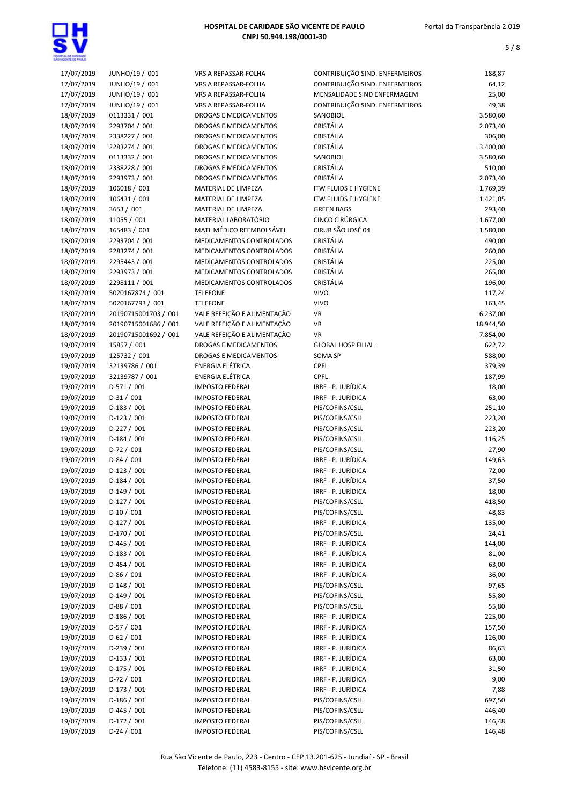

| 17/07/2019 | JUNHO/19 / 001       | VRS A REPASSAR-FOLHA         | CONTRIBUIÇÃO SIND. ENFERMEIROS | 188,87    |
|------------|----------------------|------------------------------|--------------------------------|-----------|
| 17/07/2019 | JUNHO/19 / 001       | VRS A REPASSAR-FOLHA         | CONTRIBUIÇÃO SIND. ENFERMEIROS | 64,12     |
| 17/07/2019 | JUNHO/19 / 001       | VRS A REPASSAR-FOLHA         | MENSALIDADE SIND ENFERMAGEM    | 25,00     |
| 17/07/2019 | JUNHO/19 / 001       | VRS A REPASSAR-FOLHA         | CONTRIBUIÇÃO SIND. ENFERMEIROS | 49,38     |
| 18/07/2019 | 0113331 / 001        | <b>DROGAS E MEDICAMENTOS</b> | SANOBIOL                       | 3.580,60  |
| 18/07/2019 | 2293704 / 001        | <b>DROGAS E MEDICAMENTOS</b> | CRISTÁLIA                      | 2.073,40  |
| 18/07/2019 | 2338227 / 001        | DROGAS E MEDICAMENTOS        | CRISTÁLIA                      | 306,00    |
| 18/07/2019 | 2283274 / 001        | DROGAS E MEDICAMENTOS        | CRISTÁLIA                      | 3.400,00  |
| 18/07/2019 | 0113332 / 001        | DROGAS E MEDICAMENTOS        | SANOBIOL                       | 3.580,60  |
| 18/07/2019 | 2338228 / 001        | <b>DROGAS E MEDICAMENTOS</b> | CRISTÁLIA                      | 510,00    |
| 18/07/2019 | 2293973 / 001        | <b>DROGAS E MEDICAMENTOS</b> | CRISTÁLIA                      | 2.073,40  |
| 18/07/2019 | 106018 / 001         | MATERIAL DE LIMPEZA          | <b>ITW FLUIDS E HYGIENE</b>    | 1.769,39  |
| 18/07/2019 | 106431 / 001         | MATERIAL DE LIMPEZA          | <b>ITW FLUIDS E HYGIENE</b>    | 1.421,05  |
| 18/07/2019 | 3653 / 001           | MATERIAL DE LIMPEZA          | <b>GREEN BAGS</b>              | 293,40    |
| 18/07/2019 | 11055 / 001          | MATERIAL LABORATÓRIO         | CINCO CIRÚRGICA                | 1.677,00  |
| 18/07/2019 | 165483 / 001         | MATL MÉDICO REEMBOLSÁVEL     | CIRUR SÃO JOSÉ 04              | 1.580,00  |
| 18/07/2019 | 2293704 / 001        | MEDICAMENTOS CONTROLADOS     | CRISTÁLIA                      | 490,00    |
| 18/07/2019 | 2283274 / 001        | MEDICAMENTOS CONTROLADOS     | CRISTÁLIA                      | 260,00    |
| 18/07/2019 | 2295443 / 001        | MEDICAMENTOS CONTROLADOS     | CRISTÁLIA                      | 225,00    |
| 18/07/2019 | 2293973 / 001        | MEDICAMENTOS CONTROLADOS     | CRISTÁLIA                      | 265,00    |
| 18/07/2019 | 2298111 / 001        | MEDICAMENTOS CONTROLADOS     | CRISTÁLIA                      | 196,00    |
| 18/07/2019 | 5020167874 / 001     | <b>TELEFONE</b>              | <b>VIVO</b>                    | 117,24    |
| 18/07/2019 | 5020167793 / 001     | <b>TELEFONE</b>              | <b>VIVO</b>                    | 163,45    |
| 18/07/2019 | 20190715001703 / 001 | VALE REFEIÇÃO E ALIMENTAÇÃO  | <b>VR</b>                      | 6.237,00  |
| 18/07/2019 | 20190715001686 / 001 | VALE REFEIÇÃO E ALIMENTAÇÃO  | <b>VR</b>                      | 18.944,50 |
| 18/07/2019 | 20190715001692 / 001 | VALE REFEIÇÃO E ALIMENTAÇÃO  | <b>VR</b>                      | 7.854,00  |
| 19/07/2019 | 15857 / 001          | <b>DROGAS E MEDICAMENTOS</b> | <b>GLOBAL HOSP FILIAL</b>      | 622,72    |
| 19/07/2019 | 125732 / 001         | DROGAS E MEDICAMENTOS        | <b>SOMA SP</b>                 | 588,00    |
| 19/07/2019 | 32139786 / 001       | <b>ENERGIA ELÉTRICA</b>      | CPFL                           | 379,39    |
| 19/07/2019 | 32139787 / 001       | <b>ENERGIA ELÉTRICA</b>      | CPFL                           | 187,99    |
| 19/07/2019 | $D-571/001$          | <b>IMPOSTO FEDERAL</b>       | IRRF - P. JURÍDICA             | 18,00     |
| 19/07/2019 | $D-31/001$           | <b>IMPOSTO FEDERAL</b>       | IRRF - P. JURÍDICA             | 63,00     |
| 19/07/2019 | $D-183 / 001$        | <b>IMPOSTO FEDERAL</b>       | PIS/COFINS/CSLL                | 251,10    |
| 19/07/2019 | $D-123 / 001$        | <b>IMPOSTO FEDERAL</b>       | PIS/COFINS/CSLL                | 223,20    |
| 19/07/2019 | $D-227/001$          | <b>IMPOSTO FEDERAL</b>       | PIS/COFINS/CSLL                | 223,20    |
| 19/07/2019 | $D-184 / 001$        | <b>IMPOSTO FEDERAL</b>       | PIS/COFINS/CSLL                | 116,25    |
| 19/07/2019 | $D-72/001$           | <b>IMPOSTO FEDERAL</b>       | PIS/COFINS/CSLL                | 27,90     |
| 19/07/2019 | $D-84/001$           | <b>IMPOSTO FEDERAL</b>       | IRRF - P. JURÍDICA             | 149,63    |
| 19/07/2019 | $D-123 / 001$        | <b>IMPOSTO FEDERAL</b>       | IRRF - P. JURÍDICA             | 72,00     |
| 19/07/2019 | $D-184 / 001$        | <b>IMPOSTO FEDERAL</b>       | IRRF - P. JURÍDICA             | 37,50     |
| 19/07/2019 | $D-149/001$          | <b>IMPOSTO FEDERAL</b>       | IRRF - P. JURÍDICA             | 18,00     |
| 19/07/2019 | $D-127/001$          | <b>IMPOSTO FEDERAL</b>       | PIS/COFINS/CSLL                | 418,50    |
| 19/07/2019 | $D-10/001$           | <b>IMPOSTO FEDERAL</b>       | PIS/COFINS/CSLL                | 48,83     |
| 19/07/2019 | D-127 / 001          | <b>IMPOSTO FEDERAL</b>       | IRRF - P. JURÍDICA             | 135,00    |
| 19/07/2019 | $D-170/001$          | <b>IMPOSTO FEDERAL</b>       | PIS/COFINS/CSLL                | 24,41     |
| 19/07/2019 | $D-445 / 001$        | <b>IMPOSTO FEDERAL</b>       | IRRF - P. JURÍDICA             | 144,00    |
| 19/07/2019 | $D-183 / 001$        | <b>IMPOSTO FEDERAL</b>       | IRRF - P. JURÍDICA             | 81,00     |
| 19/07/2019 | $D-454/001$          | <b>IMPOSTO FEDERAL</b>       | IRRF - P. JURÍDICA             | 63,00     |
| 19/07/2019 | $D-86/001$           | <b>IMPOSTO FEDERAL</b>       | IRRF - P. JURÍDICA             | 36,00     |
| 19/07/2019 | $D-148/001$          | <b>IMPOSTO FEDERAL</b>       | PIS/COFINS/CSLL                | 97,65     |
| 19/07/2019 | $D-149/001$          | <b>IMPOSTO FEDERAL</b>       | PIS/COFINS/CSLL                | 55,80     |
| 19/07/2019 | $D-88/001$           | <b>IMPOSTO FEDERAL</b>       | PIS/COFINS/CSLL                | 55,80     |
| 19/07/2019 | $D-186/001$          | <b>IMPOSTO FEDERAL</b>       | IRRF - P. JURÍDICA             | 225,00    |
| 19/07/2019 | $D-57/001$           | <b>IMPOSTO FEDERAL</b>       | IRRF - P. JURÍDICA             | 157,50    |
| 19/07/2019 | $D-62 / 001$         | <b>IMPOSTO FEDERAL</b>       | IRRF - P. JURÍDICA             | 126,00    |
| 19/07/2019 | $D-239/001$          | <b>IMPOSTO FEDERAL</b>       | IRRF - P. JURÍDICA             | 86,63     |
| 19/07/2019 | $D-133 / 001$        | <b>IMPOSTO FEDERAL</b>       | IRRF - P. JURÍDICA             | 63,00     |
| 19/07/2019 | D-175 / 001          | <b>IMPOSTO FEDERAL</b>       | IRRF - P. JURÍDICA             | 31,50     |
| 19/07/2019 | $D-72/001$           | <b>IMPOSTO FEDERAL</b>       | IRRF - P. JURÍDICA             | 9,00      |
| 19/07/2019 | $D-173/001$          | <b>IMPOSTO FEDERAL</b>       | IRRF - P. JURÍDICA             | 7,88      |
| 19/07/2019 | $D-186/001$          | <b>IMPOSTO FEDERAL</b>       | PIS/COFINS/CSLL                | 697,50    |
| 19/07/2019 | $D-445 / 001$        | <b>IMPOSTO FEDERAL</b>       | PIS/COFINS/CSLL                | 446,40    |
| 19/07/2019 | $D-172/001$          | <b>IMPOSTO FEDERAL</b>       | PIS/COFINS/CSLL                | 146,48    |
| 19/07/2019 | $D-24/001$           | <b>IMPOSTO FEDERAL</b>       | PIS/COFINS/CSLL                | 146,48    |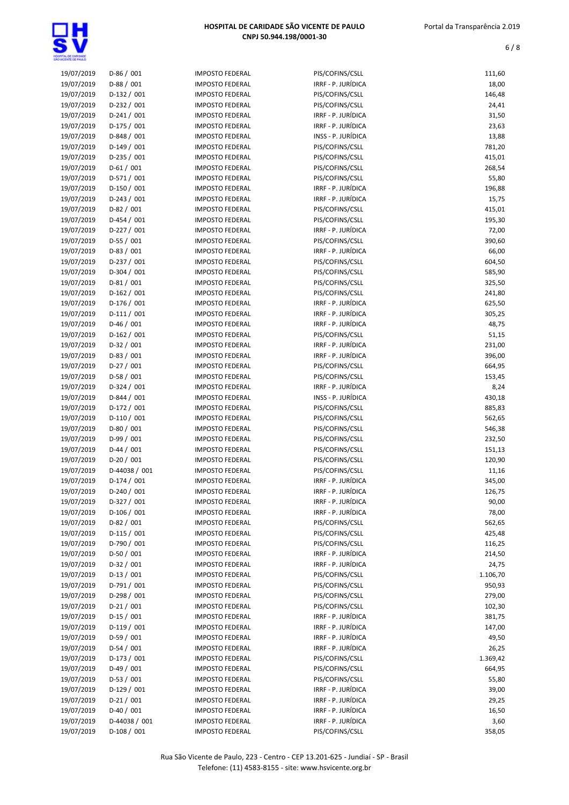| 19/07/2019 | $D-86/001$    | <b>IMPOSTO FEDERAL</b> | PIS/COFINS/CSLL    | 111,60   |
|------------|---------------|------------------------|--------------------|----------|
| 19/07/2019 | $D-88/001$    | <b>IMPOSTO FEDERAL</b> | IRRF - P. JURÍDICA | 18,00    |
| 19/07/2019 | $D-132 / 001$ | <b>IMPOSTO FEDERAL</b> | PIS/COFINS/CSLL    | 146,48   |
| 19/07/2019 | D-232 / 001   | <b>IMPOSTO FEDERAL</b> | PIS/COFINS/CSLL    | 24,41    |
| 19/07/2019 | $D-241/001$   | <b>IMPOSTO FEDERAL</b> | IRRF - P. JURÍDICA | 31,50    |
| 19/07/2019 | $D-175/001$   | <b>IMPOSTO FEDERAL</b> | IRRF - P. JURÍDICA | 23,63    |
| 19/07/2019 | $D-848 / 001$ | <b>IMPOSTO FEDERAL</b> | INSS - P. JURÍDICA | 13,88    |
| 19/07/2019 | $D-149/001$   | <b>IMPOSTO FEDERAL</b> | PIS/COFINS/CSLL    | 781,20   |
| 19/07/2019 | $D-235 / 001$ | <b>IMPOSTO FEDERAL</b> | PIS/COFINS/CSLL    | 415,01   |
| 19/07/2019 | $D-61/001$    | <b>IMPOSTO FEDERAL</b> | PIS/COFINS/CSLL    | 268,54   |
|            | D-571 / 001   |                        |                    |          |
| 19/07/2019 |               | <b>IMPOSTO FEDERAL</b> | PIS/COFINS/CSLL    | 55,80    |
| 19/07/2019 | D-150 / 001   | <b>IMPOSTO FEDERAL</b> | IRRF - P. JURÍDICA | 196,88   |
| 19/07/2019 | $D-243 / 001$ | <b>IMPOSTO FEDERAL</b> | IRRF - P. JURÍDICA | 15,75    |
| 19/07/2019 | D-82 / 001    | <b>IMPOSTO FEDERAL</b> | PIS/COFINS/CSLL    | 415,01   |
| 19/07/2019 | $D-454 / 001$ | <b>IMPOSTO FEDERAL</b> | PIS/COFINS/CSLL    | 195,30   |
| 19/07/2019 | D-227 / 001   | <b>IMPOSTO FEDERAL</b> | IRRF - P. JURÍDICA | 72,00    |
| 19/07/2019 | $D-55/001$    | <b>IMPOSTO FEDERAL</b> | PIS/COFINS/CSLL    | 390,60   |
| 19/07/2019 | D-83 / 001    | <b>IMPOSTO FEDERAL</b> | IRRF - P. JURÍDICA | 66,00    |
| 19/07/2019 | $D-237/001$   | <b>IMPOSTO FEDERAL</b> | PIS/COFINS/CSLL    | 604,50   |
| 19/07/2019 | D-304 / 001   | <b>IMPOSTO FEDERAL</b> | PIS/COFINS/CSLL    | 585,90   |
| 19/07/2019 | $D-81/001$    | <b>IMPOSTO FEDERAL</b> | PIS/COFINS/CSLL    | 325,50   |
| 19/07/2019 | $D-162 / 001$ | <b>IMPOSTO FEDERAL</b> | PIS/COFINS/CSLL    | 241,80   |
| 19/07/2019 | $D-176/001$   | <b>IMPOSTO FEDERAL</b> | IRRF - P. JURÍDICA | 625,50   |
| 19/07/2019 | $D-111/001$   | <b>IMPOSTO FEDERAL</b> | IRRF - P. JURÍDICA | 305,25   |
| 19/07/2019 | $D-46/001$    | <b>IMPOSTO FEDERAL</b> | IRRF - P. JURÍDICA | 48,75    |
| 19/07/2019 | D-162 / 001   | <b>IMPOSTO FEDERAL</b> | PIS/COFINS/CSLL    | 51,15    |
| 19/07/2019 | $D-32 / 001$  | <b>IMPOSTO FEDERAL</b> | IRRF - P. JURÍDICA | 231,00   |
| 19/07/2019 | $D-83 / 001$  | <b>IMPOSTO FEDERAL</b> | IRRF - P. JURÍDICA | 396,00   |
| 19/07/2019 | D-27 / 001    | <b>IMPOSTO FEDERAL</b> | PIS/COFINS/CSLL    | 664,95   |
| 19/07/2019 | $D-58/001$    | <b>IMPOSTO FEDERAL</b> | PIS/COFINS/CSLL    | 153,45   |
| 19/07/2019 | $D-324 / 001$ | <b>IMPOSTO FEDERAL</b> | IRRF - P. JURÍDICA | 8,24     |
| 19/07/2019 | D-844 / 001   | <b>IMPOSTO FEDERAL</b> | INSS - P. JURÍDICA | 430,18   |
| 19/07/2019 | D-172 / 001   | <b>IMPOSTO FEDERAL</b> | PIS/COFINS/CSLL    | 885,83   |
| 19/07/2019 | $D-110/001$   | <b>IMPOSTO FEDERAL</b> | PIS/COFINS/CSLL    | 562,65   |
| 19/07/2019 | D-80 / 001    | <b>IMPOSTO FEDERAL</b> | PIS/COFINS/CSLL    | 546,38   |
| 19/07/2019 | $D-99/001$    | <b>IMPOSTO FEDERAL</b> | PIS/COFINS/CSLL    | 232,50   |
| 19/07/2019 | $D-44 / 001$  | <b>IMPOSTO FEDERAL</b> | PIS/COFINS/CSLL    | 151,13   |
|            | $D-20/001$    | <b>IMPOSTO FEDERAL</b> |                    |          |
| 19/07/2019 | D-44038 / 001 |                        | PIS/COFINS/CSLL    | 120,90   |
| 19/07/2019 |               | <b>IMPOSTO FEDERAL</b> | PIS/COFINS/CSLL    | 11,16    |
| 19/07/2019 | $D-174/001$   | <b>IMPOSTO FEDERAL</b> | IRRF - P. JURÍDICA | 345,00   |
| 19/07/2019 | $D-240 / 001$ | <b>IMPOSTO FEDERAL</b> | IRRF - P. JURÍDICA | 126,75   |
| 19/07/2019 | $D-327/001$   | <b>IMPOSTO FEDERAL</b> | IRRF - P. JURÍDICA | 90,00    |
| 19/07/2019 | D-106 / 001   | <b>IMPOSTO FEDERAL</b> | IRRF - P. JURÍDICA | 78,00    |
| 19/07/2019 | D-82 / 001    | <b>IMPOSTO FEDERAL</b> | PIS/COFINS/CSLL    | 562,65   |
| 19/07/2019 | $D-115/001$   | <b>IMPOSTO FEDERAL</b> | PIS/COFINS/CSLL    | 425,48   |
| 19/07/2019 | D-790 / 001   | <b>IMPOSTO FEDERAL</b> | PIS/COFINS/CSLL    | 116,25   |
| 19/07/2019 | $D-50/001$    | <b>IMPOSTO FEDERAL</b> | IRRF - P. JURÍDICA | 214,50   |
| 19/07/2019 | $D-32 / 001$  | <b>IMPOSTO FEDERAL</b> | IRRF - P. JURÍDICA | 24,75    |
| 19/07/2019 | $D-13/001$    | <b>IMPOSTO FEDERAL</b> | PIS/COFINS/CSLL    | 1.106,70 |
| 19/07/2019 | $D-791/001$   | <b>IMPOSTO FEDERAL</b> | PIS/COFINS/CSLL    | 950,93   |
| 19/07/2019 | D-298 / 001   | <b>IMPOSTO FEDERAL</b> | PIS/COFINS/CSLL    | 279,00   |
| 19/07/2019 | $D-21/001$    | <b>IMPOSTO FEDERAL</b> | PIS/COFINS/CSLL    | 102,30   |
| 19/07/2019 | $D-15/001$    | <b>IMPOSTO FEDERAL</b> | IRRF - P. JURÍDICA | 381,75   |
| 19/07/2019 | $D-119/001$   | <b>IMPOSTO FEDERAL</b> | IRRF - P. JURÍDICA | 147,00   |
| 19/07/2019 | $D-59/001$    | <b>IMPOSTO FEDERAL</b> | IRRF - P. JURÍDICA | 49,50    |
| 19/07/2019 | $D-54/001$    | <b>IMPOSTO FEDERAL</b> | IRRF - P. JURÍDICA | 26,25    |
| 19/07/2019 | $D-173 / 001$ | <b>IMPOSTO FEDERAL</b> | PIS/COFINS/CSLL    | 1.369,42 |
| 19/07/2019 | $D-49/001$    | <b>IMPOSTO FEDERAL</b> | PIS/COFINS/CSLL    | 664,95   |
| 19/07/2019 | $D-53 / 001$  | <b>IMPOSTO FEDERAL</b> | PIS/COFINS/CSLL    | 55,80    |
| 19/07/2019 | $D-129/001$   | <b>IMPOSTO FEDERAL</b> | IRRF - P. JURÍDICA | 39,00    |
| 19/07/2019 | $D-21/001$    | <b>IMPOSTO FEDERAL</b> | IRRF - P. JURÍDICA | 29,25    |
| 19/07/2019 | $D-40/001$    | <b>IMPOSTO FEDERAL</b> | IRRF - P. JURÍDICA | 16,50    |
| 19/07/2019 | D-44038 / 001 | <b>IMPOSTO FEDERAL</b> | IRRF - P. JURÍDICA | 3,60     |
| 19/07/2019 | $D-108/001$   | <b>IMPOSTO FEDERAL</b> | PIS/COFINS/CSLL    | 358,05   |
|            |               |                        |                    |          |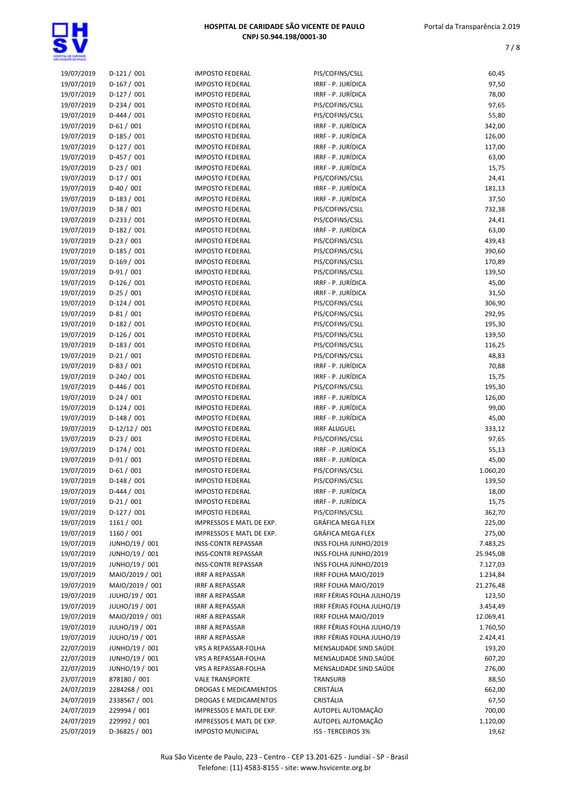| 19/07/2019 | $D-121/001$     | <b>IMPOSTO FEDERAL</b>     | PIS/COFINS/CSLL            | 60,45     |
|------------|-----------------|----------------------------|----------------------------|-----------|
| 19/07/2019 | $D-167/001$     | <b>IMPOSTO FEDERAL</b>     | IRRF - P. JURÍDICA         | 97,50     |
| 19/07/2019 | $D-127/001$     | <b>IMPOSTO FEDERAL</b>     | IRRF - P. JURÍDICA         | 78,00     |
| 19/07/2019 | $D-234 / 001$   | <b>IMPOSTO FEDERAL</b>     | PIS/COFINS/CSLL            | 97,65     |
| 19/07/2019 | $D-444 / 001$   | <b>IMPOSTO FEDERAL</b>     | PIS/COFINS/CSLL            | 55,80     |
| 19/07/2019 | $D-61/001$      | <b>IMPOSTO FEDERAL</b>     | IRRF - P. JURÍDICA         | 342,00    |
| 19/07/2019 | $D-185/001$     | <b>IMPOSTO FEDERAL</b>     | IRRF - P. JURÍDICA         | 126,00    |
|            |                 |                            | IRRF - P. JURÍDICA         |           |
| 19/07/2019 | $D-127/001$     | <b>IMPOSTO FEDERAL</b>     |                            | 117,00    |
| 19/07/2019 | $D-457/001$     | <b>IMPOSTO FEDERAL</b>     | IRRF - P. JURÍDICA         | 63,00     |
| 19/07/2019 | $D-23/001$      | <b>IMPOSTO FEDERAL</b>     | IRRF - P. JURÍDICA         | 15,75     |
| 19/07/2019 | $D-17/001$      | <b>IMPOSTO FEDERAL</b>     | PIS/COFINS/CSLL            | 24,41     |
| 19/07/2019 | $D-40/001$      | <b>IMPOSTO FEDERAL</b>     | IRRF - P. JURÍDICA         | 181,13    |
| 19/07/2019 | $D-183/001$     | <b>IMPOSTO FEDERAL</b>     | IRRF - P. JURÍDICA         | 37,50     |
| 19/07/2019 | $D-38/001$      | <b>IMPOSTO FEDERAL</b>     | PIS/COFINS/CSLL            | 732,38    |
| 19/07/2019 | $D-233 / 001$   | <b>IMPOSTO FEDERAL</b>     | PIS/COFINS/CSLL            | 24,41     |
| 19/07/2019 | $D-182 / 001$   | <b>IMPOSTO FEDERAL</b>     | IRRF - P. JURÍDICA         | 63,00     |
| 19/07/2019 | $D-23/001$      | <b>IMPOSTO FEDERAL</b>     | PIS/COFINS/CSLL            | 439,43    |
| 19/07/2019 | $D-185/001$     | <b>IMPOSTO FEDERAL</b>     | PIS/COFINS/CSLL            | 390,60    |
| 19/07/2019 | $D-169/001$     | <b>IMPOSTO FEDERAL</b>     | PIS/COFINS/CSLL            | 170,89    |
| 19/07/2019 | D-91 / 001      | <b>IMPOSTO FEDERAL</b>     | PIS/COFINS/CSLL            | 139,50    |
| 19/07/2019 | $D-126/001$     | <b>IMPOSTO FEDERAL</b>     | IRRF - P. JURÍDICA         | 45,00     |
| 19/07/2019 | $D-25/001$      | <b>IMPOSTO FEDERAL</b>     | IRRF - P. JURÍDICA         | 31,50     |
| 19/07/2019 | $D-124 / 001$   | <b>IMPOSTO FEDERAL</b>     | PIS/COFINS/CSLL            | 306,90    |
| 19/07/2019 | $D-81/001$      | <b>IMPOSTO FEDERAL</b>     | PIS/COFINS/CSLL            | 292,95    |
| 19/07/2019 | $D-182 / 001$   | <b>IMPOSTO FEDERAL</b>     | PIS/COFINS/CSLL            | 195,30    |
| 19/07/2019 | $D-126/001$     | <b>IMPOSTO FEDERAL</b>     | PIS/COFINS/CSLL            | 139,50    |
| 19/07/2019 | $D-183 / 001$   | <b>IMPOSTO FEDERAL</b>     | PIS/COFINS/CSLL            | 116,25    |
| 19/07/2019 | $D-21/001$      | <b>IMPOSTO FEDERAL</b>     | PIS/COFINS/CSLL            | 48,83     |
| 19/07/2019 | $D-83/001$      | <b>IMPOSTO FEDERAL</b>     | IRRF - P. JURÍDICA         | 70,88     |
| 19/07/2019 | $D-240 / 001$   | <b>IMPOSTO FEDERAL</b>     | IRRF - P. JURÍDICA         | 15,75     |
| 19/07/2019 | $D-446 / 001$   | <b>IMPOSTO FEDERAL</b>     | PIS/COFINS/CSLL            | 195,30    |
| 19/07/2019 | $D-24/001$      | <b>IMPOSTO FEDERAL</b>     | IRRF - P. JURÍDICA         | 126,00    |
| 19/07/2019 | $D-124/001$     | <b>IMPOSTO FEDERAL</b>     | IRRF - P. JURÍDICA         | 99,00     |
| 19/07/2019 | $D-148/001$     | <b>IMPOSTO FEDERAL</b>     | IRRF - P. JURÍDICA         |           |
|            | $D-12/12 / 001$ |                            |                            | 45,00     |
| 19/07/2019 |                 | <b>IMPOSTO FEDERAL</b>     | <b>IRRF ALUGUEL</b>        | 333,12    |
| 19/07/2019 | $D-23/001$      | <b>IMPOSTO FEDERAL</b>     | PIS/COFINS/CSLL            | 97,65     |
| 19/07/2019 | $D-174/001$     | <b>IMPOSTO FEDERAL</b>     | IRRF - P. JURÍDICA         | 55,13     |
| 19/07/2019 | $D-91/001$      | <b>IMPOSTO FEDERAL</b>     | IRRF - P. JURÍDICA         | 45,00     |
| 19/07/2019 | $D-61/001$      | <b>IMPOSTO FEDERAL</b>     | PIS/COFINS/CSLL            | 1.060,20  |
| 19/07/2019 | $D-148/001$     | <b>IMPOSTO FEDERAL</b>     | PIS/COFINS/CSLL            | 139,50    |
| 19/07/2019 | $D-444 / 001$   | <b>IMPOSTO FEDERAL</b>     | IRRF - P. JURÍDICA         | 18,00     |
| 19/07/2019 | $D-21/001$      | <b>IMPOSTO FEDERAL</b>     | IRRF - P. JURÍDICA         | 15,75     |
| 19/07/2019 | $D-127/001$     | <b>IMPOSTO FEDERAL</b>     | PIS/COFINS/CSLL            | 362,70    |
| 19/07/2019 | 1161 / 001      | IMPRESSOS E MATL DE EXP.   | <b>GRÁFICA MEGA FLEX</b>   | 225,00    |
| 19/07/2019 | 1160 / 001      | IMPRESSOS E MATL DE EXP.   | GRÁFICA MEGA FLEX          | 275,00    |
| 19/07/2019 | JUNHO/19 / 001  | <b>INSS-CONTR REPASSAR</b> | INSS FOLHA JUNHO/2019      | 7.483,25  |
| 19/07/2019 | JUNHO/19 / 001  | <b>INSS-CONTR REPASSAR</b> | INSS FOLHA JUNHO/2019      | 25.945,08 |
| 19/07/2019 | JUNHO/19 / 001  | <b>INSS-CONTR REPASSAR</b> | INSS FOLHA JUNHO/2019      | 7.127,03  |
| 19/07/2019 | MAIO/2019 / 001 | IRRF A REPASSAR            | IRRF FOLHA MAIO/2019       | 1.234,84  |
| 19/07/2019 | MAIO/2019 / 001 | IRRF A REPASSAR            | IRRF FOLHA MAIO/2019       | 21.276,48 |
| 19/07/2019 | JULHO/19 / 001  | <b>IRRF A REPASSAR</b>     | IRRF FÉRIAS FOLHA JULHO/19 | 123,50    |
| 19/07/2019 | JULHO/19 / 001  | <b>IRRF A REPASSAR</b>     | IRRF FÉRIAS FOLHA JULHO/19 | 3.454,49  |
| 19/07/2019 | MAIO/2019 / 001 | <b>IRRF A REPASSAR</b>     | IRRF FOLHA MAIO/2019       | 12.069,41 |
| 19/07/2019 | JULHO/19 / 001  | <b>IRRF A REPASSAR</b>     | IRRF FÉRIAS FOLHA JULHO/19 | 1.760,50  |
| 19/07/2019 | JULHO/19 / 001  | <b>IRRF A REPASSAR</b>     | IRRF FÉRIAS FOLHA JULHO/19 | 2.424,41  |
| 22/07/2019 | JUNHO/19 / 001  | VRS A REPASSAR-FOLHA       | MENSALIDADE SIND.SAÚDE     | 193,20    |
| 22/07/2019 | JUNHO/19 / 001  | VRS A REPASSAR-FOLHA       | MENSALIDADE SIND.SAÚDE     | 607,20    |
| 22/07/2019 | JUNHO/19 / 001  | VRS A REPASSAR-FOLHA       | MENSALIDADE SIND.SAÚDE     | 276,00    |
| 23/07/2019 | 878180 / 001    | <b>VALE TRANSPORTE</b>     | TRANSURB                   | 88,50     |
| 24/07/2019 | 2284268 / 001   | DROGAS E MEDICAMENTOS      | CRISTÁLIA                  | 662,00    |
| 24/07/2019 | 2338567 / 001   | DROGAS E MEDICAMENTOS      | CRISTÁLIA                  | 67,50     |
| 24/07/2019 | 229994 / 001    | IMPRESSOS E MATL DE EXP.   | AUTOPEL AUTOMAÇÃO          | 700,00    |
| 24/07/2019 | 229992 / 001    | IMPRESSOS E MATL DE EXP.   | AUTOPEL AUTOMAÇÃO          | 1.120,00  |
| 25/07/2019 | D-36825 / 001   | <b>IMPOSTO MUNICIPAL</b>   | ISS - TERCEIROS 3%         | 19,62     |
|            |                 |                            |                            |           |